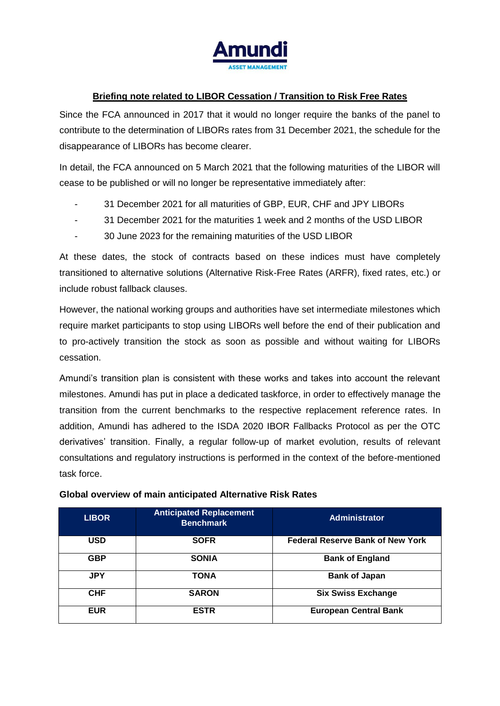

## **Briefing note related to LIBOR Cessation / Transition to Risk Free Rates**

Since the FCA announced in 2017 that it would no longer require the banks of the panel to contribute to the determination of LIBORs rates from 31 December 2021, the schedule for the disappearance of LIBORs has become clearer.

In detail, the FCA announced on 5 March 2021 that the following maturities of the LIBOR will cease to be published or will no longer be representative immediately after:

- 31 December 2021 for all maturities of GBP, EUR, CHF and JPY LIBORs
- 31 December 2021 for the maturities 1 week and 2 months of the USD LIBOR
- 30 June 2023 for the remaining maturities of the USD LIBOR

At these dates, the stock of contracts based on these indices must have completely transitioned to alternative solutions (Alternative Risk-Free Rates (ARFR), fixed rates, etc.) or include robust fallback clauses.

However, the national working groups and authorities have set intermediate milestones which require market participants to stop using LIBORs well before the end of their publication and to pro-actively transition the stock as soon as possible and without waiting for LIBORs cessation.

Amundi's transition plan is consistent with these works and takes into account the relevant milestones. Amundi has put in place a dedicated taskforce, in order to effectively manage the transition from the current benchmarks to the respective replacement reference rates. In addition, Amundi has adhered to the ISDA 2020 IBOR Fallbacks Protocol as per the OTC derivatives' transition. Finally, a regular follow-up of market evolution, results of relevant consultations and regulatory instructions is performed in the context of the before-mentioned task force.

| <b>LIBOR</b> | <b>Anticipated Replacement</b><br><b>Benchmark</b> | <b>Administrator</b>                    |
|--------------|----------------------------------------------------|-----------------------------------------|
| <b>USD</b>   | <b>SOFR</b>                                        | <b>Federal Reserve Bank of New York</b> |
| <b>GBP</b>   | <b>SONIA</b>                                       | <b>Bank of England</b>                  |
| <b>JPY</b>   | <b>TONA</b>                                        | <b>Bank of Japan</b>                    |
| <b>CHF</b>   | <b>SARON</b>                                       | <b>Six Swiss Exchange</b>               |
| <b>EUR</b>   | <b>ESTR</b>                                        | <b>European Central Bank</b>            |

## **Global overview of main anticipated Alternative Risk Rates**